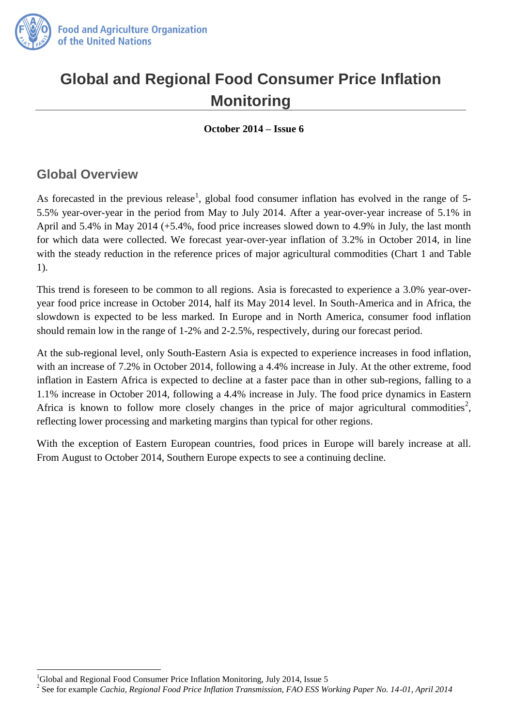

# **Global and Regional Food Consumer Price Inflation Monitoring**

**October 2014 – Issue 6** 

### **Global Overview**

As forecasted in the previous release<sup>1</sup>, global food consumer inflation has evolved in the range of 5-5.5% year-over-year in the period from May to July 2014. After a year-over-year increase of 5.1% in April and 5.4% in May 2014 (+5.4%, food price increases slowed down to 4.9% in July, the last month for which data were collected. We forecast year-over-year inflation of 3.2% in October 2014, in line with the steady reduction in the reference prices of major agricultural commodities (Chart 1 and Table 1).

This trend is foreseen to be common to all regions. Asia is forecasted to experience a 3.0% year-overyear food price increase in October 2014, half its May 2014 level. In South-America and in Africa, the slowdown is expected to be less marked. In Europe and in North America, consumer food inflation should remain low in the range of 1-2% and 2-2.5%, respectively, during our forecast period.

At the sub-regional level, only South-Eastern Asia is expected to experience increases in food inflation, with an increase of 7.2% in October 2014, following a 4.4% increase in July. At the other extreme, food inflation in Eastern Africa is expected to decline at a faster pace than in other sub-regions, falling to a 1.1% increase in October 2014, following a 4.4% increase in July. The food price dynamics in Eastern Africa is known to follow more closely changes in the price of major agricultural commodities<sup>2</sup>, reflecting lower processing and marketing margins than typical for other regions.

With the exception of Eastern European countries, food prices in Europe will barely increase at all. From August to October 2014, Southern Europe expects to see a continuing decline.

 $\overline{a}$ <sup>1</sup>Global and Regional Food Consumer Price Inflation Monitoring, July 2014, Issue 5

<sup>2</sup> See for example *Cachia, Regional Food Price Inflation Transmission, FAO ESS Working Paper No. 14-01, April 2014*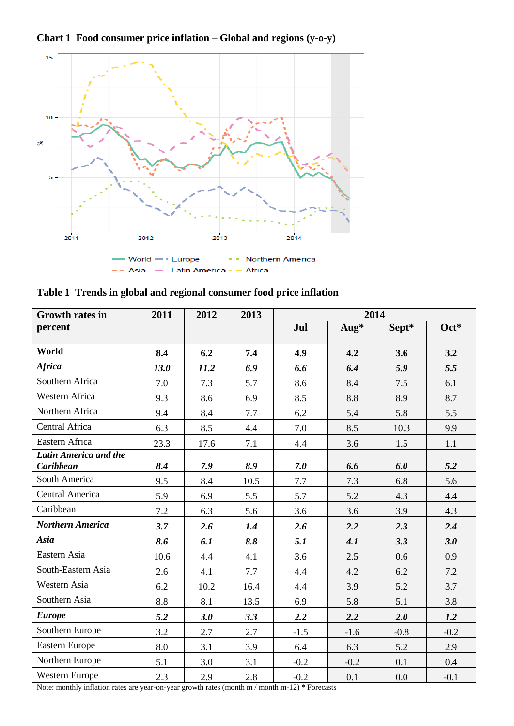**Chart 1 Food consumer price inflation – Global and regions (y-o-y)**



| Table 1 Trends in global and regional consumer food price inflation |  |  |  |  |  |  |  |
|---------------------------------------------------------------------|--|--|--|--|--|--|--|
|---------------------------------------------------------------------|--|--|--|--|--|--|--|

| <b>Growth rates in</b>                                           | 2011 | 2012 | 2013 | 2014   |        |        |        |
|------------------------------------------------------------------|------|------|------|--------|--------|--------|--------|
| percent                                                          |      |      |      | Jul    | Aug*   | Sept*  | Oct*   |
| World                                                            | 8.4  | 6.2  | 7.4  | 4.9    | 4.2    | 3.6    | 3.2    |
| <b>Africa</b>                                                    | 13.0 | 11.2 | 6.9  | 6.6    | 6.4    | 5.9    | 5.5    |
| Southern Africa                                                  | 7.0  | 7.3  | 5.7  | 8.6    | 8.4    | 7.5    | 6.1    |
| Western Africa                                                   | 9.3  | 8.6  | 6.9  | 8.5    | 8.8    | 8.9    | 8.7    |
| Northern Africa                                                  | 9.4  | 8.4  | 7.7  | 6.2    | 5.4    | 5.8    | 5.5    |
| Central Africa                                                   | 6.3  | 8.5  | 4.4  | 7.0    | 8.5    | 10.3   | 9.9    |
| Eastern Africa                                                   | 23.3 | 17.6 | 7.1  | 4.4    | 3.6    | 1.5    | 1.1    |
| Latin America and the<br><b>Caribbean</b>                        | 8.4  | 7.9  | 8.9  | 7.0    | 6.6    | 6.0    | 5.2    |
| South America                                                    | 9.5  | 8.4  | 10.5 | 7.7    | 7.3    | 6.8    | 5.6    |
| Central America                                                  | 5.9  | 6.9  | 5.5  | 5.7    | 5.2    | 4.3    | 4.4    |
| Caribbean                                                        | 7.2  | 6.3  | 5.6  | 3.6    | 3.6    | 3.9    | 4.3    |
| <b>Northern America</b>                                          | 3.7  | 2.6  | 1.4  | 2.6    | 2.2    | 2.3    | 2.4    |
| Asia                                                             | 8.6  | 6.1  | 8.8  | 5.1    | 4.1    | 3.3    | 3.0    |
| Eastern Asia                                                     | 10.6 | 4.4  | 4.1  | 3.6    | 2.5    | 0.6    | 0.9    |
| South-Eastern Asia                                               | 2.6  | 4.1  | 7.7  | 4.4    | 4.2    | 6.2    | 7.2    |
| Western Asia                                                     | 6.2  | 10.2 | 16.4 | 4.4    | 3.9    | 5.2    | 3.7    |
| Southern Asia                                                    | 8.8  | 8.1  | 13.5 | 6.9    | 5.8    | 5.1    | 3.8    |
| <b>Europe</b>                                                    | 5.2  | 3.0  | 3.3  | 2.2    | 2.2    | 2.0    | 1.2    |
| Southern Europe                                                  | 3.2  | 2.7  | 2.7  | $-1.5$ | $-1.6$ | $-0.8$ | $-0.2$ |
| <b>Eastern Europe</b>                                            | 8.0  | 3.1  | 3.9  | 6.4    | 6.3    | 5.2    | 2.9    |
| Northern Europe                                                  | 5.1  | 3.0  | 3.1  | $-0.2$ | $-0.2$ | 0.1    | 0.4    |
| Western Europe<br>$\mathbf{a}$ and $\mathbf{a}$ and $\mathbf{a}$ | 2.3  | 2.9  | 2.8  | $-0.2$ | 0.1    | 0.0    | $-0.1$ |

Note: monthly inflation rates are year-on-year growth rates (month m / month m-12) \* Forecasts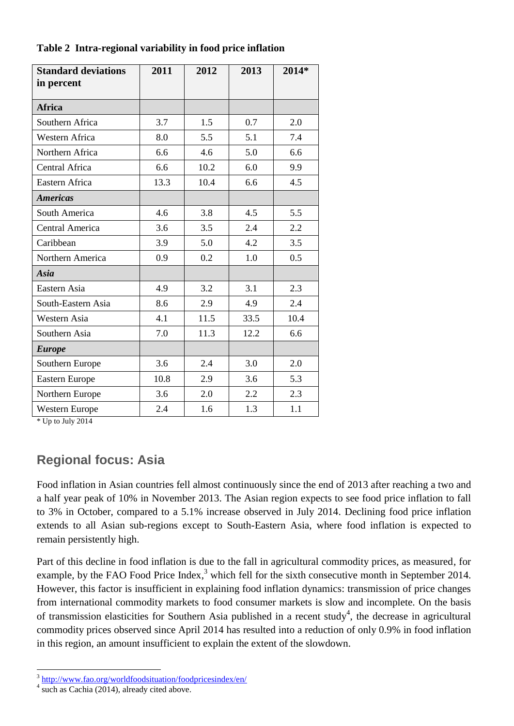| <b>Standard deviations</b><br>in percent | 2011 | 2012 | 2013 | 2014* |
|------------------------------------------|------|------|------|-------|
|                                          |      |      |      |       |
| <b>Africa</b>                            |      |      |      |       |
| Southern Africa                          | 3.7  | 1.5  | 0.7  | 2.0   |
| Western Africa                           | 8.0  | 5.5  | 5.1  | 7.4   |
| Northern Africa                          | 6.6  | 4.6  | 5.0  | 6.6   |
| Central Africa                           | 6.6  | 10.2 | 6.0  | 9.9   |
| Eastern Africa                           | 13.3 | 10.4 | 6.6  | 4.5   |
| <b>Americas</b>                          |      |      |      |       |
| South America                            | 4.6  | 3.8  | 4.5  | 5.5   |
| Central America                          | 3.6  | 3.5  | 2.4  | 2.2   |
| Caribbean                                | 3.9  | 5.0  | 4.2  | 3.5   |
| Northern America                         | 0.9  | 0.2  | 1.0  | 0.5   |
| Asia                                     |      |      |      |       |
| Eastern Asia                             | 4.9  | 3.2  | 3.1  | 2.3   |
| South-Eastern Asia                       | 8.6  | 2.9  | 4.9  | 2.4   |
| Western Asia                             | 4.1  | 11.5 | 33.5 | 10.4  |
| Southern Asia                            | 7.0  | 11.3 | 12.2 | 6.6   |
| <b>Europe</b>                            |      |      |      |       |
| Southern Europe                          | 3.6  | 2.4  | 3.0  | 2.0   |
| Eastern Europe                           | 10.8 | 2.9  | 3.6  | 5.3   |
| Northern Europe                          | 3.6  | 2.0  | 2.2  | 2.3   |
| Western Europe                           | 2.4  | 1.6  | 1.3  | 1.1   |

**Table 2 Intra-regional variability in food price inflation**

\* Up to July 2014

## **Regional focus: Asia**

Food inflation in Asian countries fell almost continuously since the end of 2013 after reaching a two and a half year peak of 10% in November 2013. The Asian region expects to see food price inflation to fall to 3% in October, compared to a 5.1% increase observed in July 2014. Declining food price inflation extends to all Asian sub-regions except to South-Eastern Asia, where food inflation is expected to remain persistently high.

Part of this decline in food inflation is due to the fall in agricultural commodity prices, as measured, for example, by the FAO Food Price Index,<sup>3</sup> which fell for the sixth consecutive month in September 2014. However, this factor is insufficient in explaining food inflation dynamics: transmission of price changes from international commodity markets to food consumer markets is slow and incomplete. On the basis of transmission elasticities for Southern Asia published in a recent study<sup>4</sup>, the decrease in agricultural commodity prices observed since April 2014 has resulted into a reduction of only 0.9% in food inflation in this region, an amount insufficient to explain the extent of the slowdown.

 3 <http://www.fao.org/worldfoodsituation/foodpricesindex/en/>

<sup>4</sup> such as Cachia (2014), already cited above.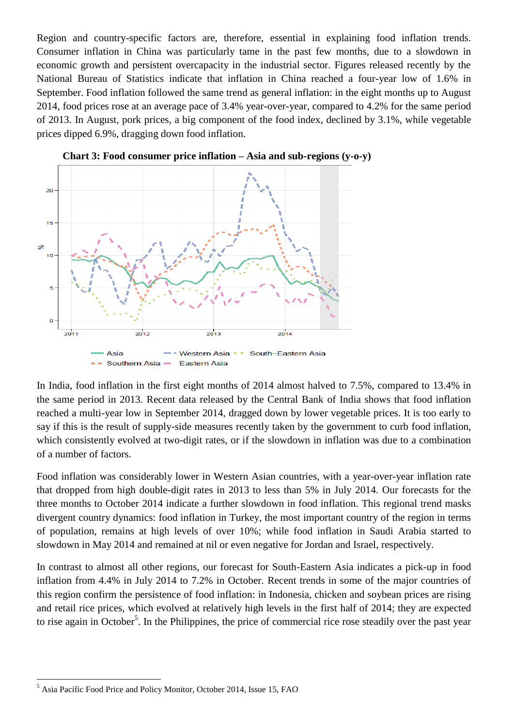Region and country-specific factors are, therefore, essential in explaining food inflation trends. Consumer inflation in China was particularly tame in the past few months, due to a slowdown in economic growth and persistent overcapacity in the industrial sector. Figures released recently by the National Bureau of Statistics indicate that inflation in China reached a four-year low of 1.6% in September. Food inflation followed the same trend as general inflation: in the eight months up to August 2014, food prices rose at an average pace of 3.4% year-over-year, compared to 4.2% for the same period of 2013. In August, pork prices, a big component of the food index, declined by 3.1%, while vegetable prices dipped 6.9%, dragging down food inflation.



**Chart 3: Food consumer price inflation – Asia and sub-regions (y-o-y)**

In India, food inflation in the first eight months of 2014 almost halved to 7.5%, compared to 13.4% in the same period in 2013. Recent data released by the Central Bank of India shows that food inflation reached a multi-year low in September 2014, dragged down by lower vegetable prices. It is too early to say if this is the result of supply-side measures recently taken by the government to curb food inflation, which consistently evolved at two-digit rates, or if the slowdown in inflation was due to a combination of a number of factors.

Food inflation was considerably lower in Western Asian countries, with a year-over-year inflation rate that dropped from high double-digit rates in 2013 to less than 5% in July 2014. Our forecasts for the three months to October 2014 indicate a further slowdown in food inflation. This regional trend masks divergent country dynamics: food inflation in Turkey, the most important country of the region in terms of population, remains at high levels of over 10%; while food inflation in Saudi Arabia started to slowdown in May 2014 and remained at nil or even negative for Jordan and Israel, respectively.

In contrast to almost all other regions, our forecast for South-Eastern Asia indicates a pick-up in food inflation from 4.4% in July 2014 to 7.2% in October. Recent trends in some of the major countries of this region confirm the persistence of food inflation: in Indonesia, chicken and soybean prices are rising and retail rice prices, which evolved at relatively high levels in the first half of 2014; they are expected to rise again in October<sup>5</sup>. In the Philippines, the price of commercial rice rose steadily over the past year

 $\overline{a}$ 

<sup>&</sup>lt;sup>5</sup> Asia Pacific Food Price and Policy Monitor, October 2014, Issue 15, FAO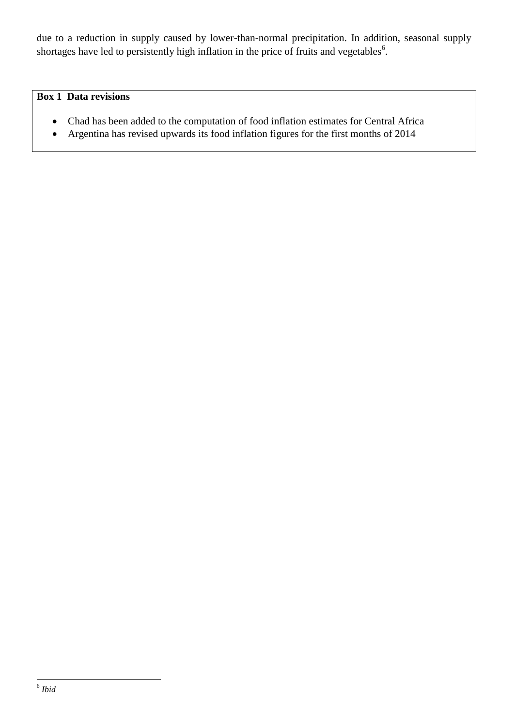due to a reduction in supply caused by lower-than-normal precipitation. In addition, seasonal supply shortages have led to persistently high inflation in the price of fruits and vegetables $^6$ .

#### **Box 1 Data revisions**

- Chad has been added to the computation of food inflation estimates for Central Africa
- Argentina has revised upwards its food inflation figures for the first months of 2014